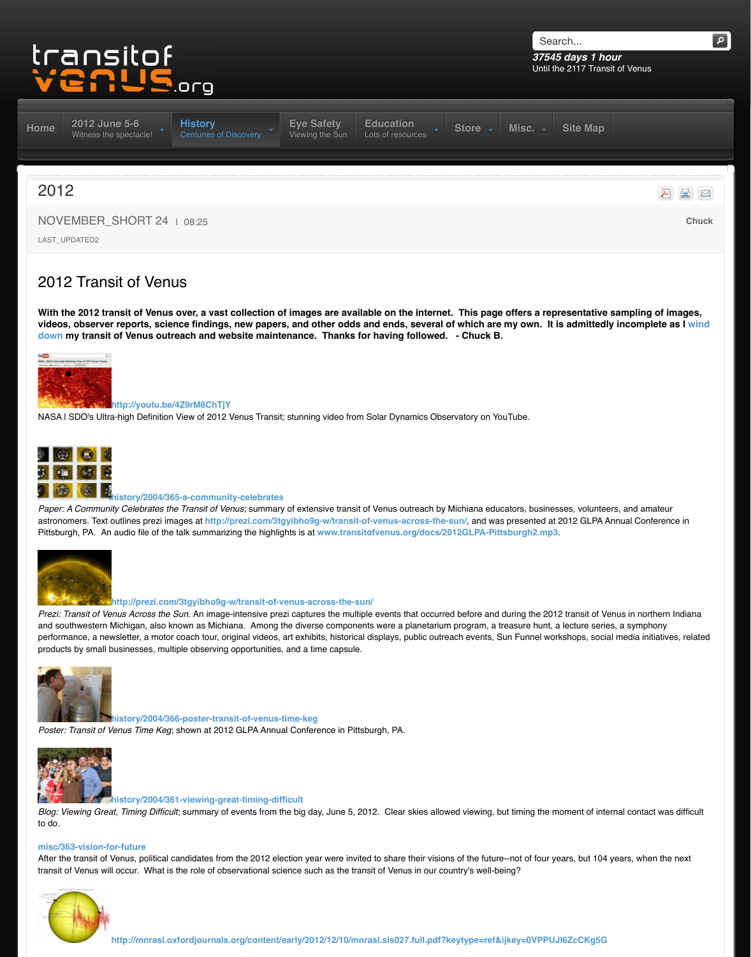

#### **http://youtu.be/4Z9rM8ChTjY**

NASA I SDO's Ultra-high Definition View of 2012 Venus Transit; stunning video from Solar Dynamics Observation



# **history/2004/3[65-a-community-celebrates](http://www.transitofvenus.org/history)**

*[Paper:](http://www.transitofvenus.org/) [A Community Celebrates th](http://www.transitofvenus.org/june2012)e Transit of Venus; summa[ry of extensive trans](http://www.transitofvenus.org/june2012/eye-safety)[it of Venus outreach by](http://www.transitofvenus.org/education)* astronomers. Text outlines prezi images at http://prezi.com/3tgyibho9g-w/transit-of-venus-across-the-Pittsburgh, PA. An audio file of the talk summarizing the highlights is at www.transitofvenus.org/docs/2



#### **http://prezi.com/3tgyibho9g-w/transit-of-venus-across-the-sun/**

*Prezi: Transit of Venus Across the Sun.* An image-intensive prezi captures the multiple events that occurre and southwestern Michigan, also known as Michiana. Among the diverse components were a planetariun performance, a newsletter, a motor coach tour, original videos, art exhibits, historical displays, public outre products by small businesses, multiple observing opportunities, and a time capsule.



#### **[history/2004/366-poster-transit-of-venus-time-keg](http://www.transitofvenus.org/history/2004/364-transit-of-venus-closure)**

*[Poster: Transit of V](http://www.transitofvenus.org/history/2004/367-2012)enus Time Keg*; shown at 2012 GLPA Annual Conference in Pittsburgh, PA.



#### **history/2004/361-viewing-great-timing-difficult**

*Blog: Viewing Great, Timing Difficult*; summary of events from the big day, June 5, 2012. Clear skies allov to do.

#### **misc/363-vision-for-future**

[After the transit of V](http://www.transitofvenus.org/history/2004/367-2012)enus, political candidates from the 2012 election year were invited to share their visior transit of Venus wi[ll occur. What is the role of observational scie](http://www.transitofvenus.org/history/2004/365-a-community-celebrates)nce such as the transit of Venus in our co

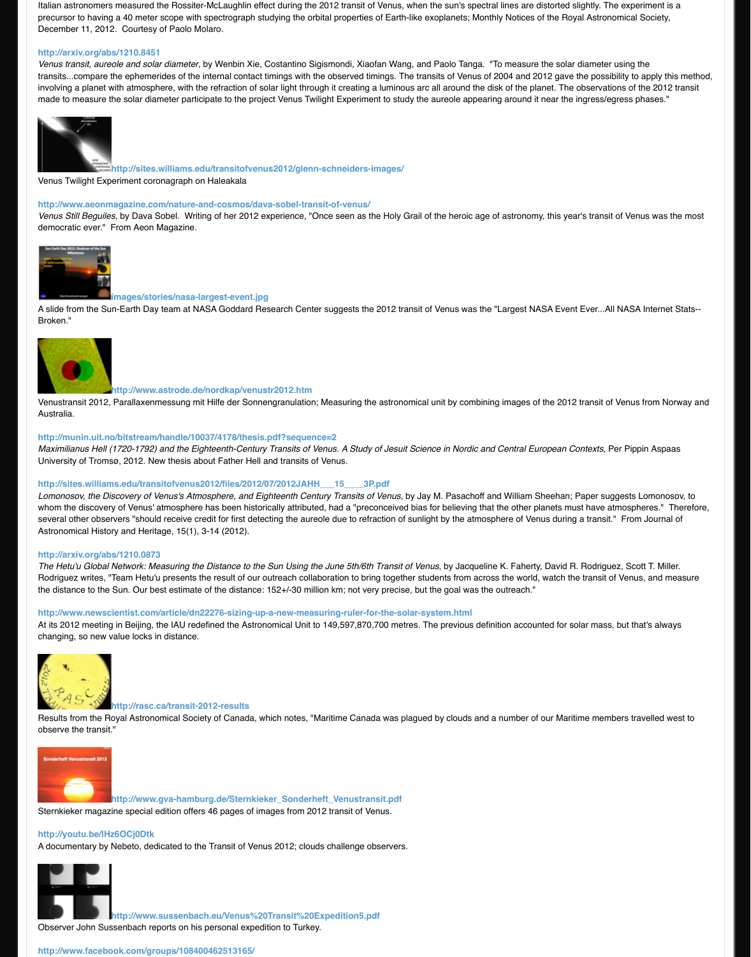

### **http://www.astrode.de/nordkap/venustr2012.htm**

Venustransit 2012, Parallaxenmessung mit Hilfe der Sonnengranulation; Measuring the astronomical unit Australia.

### **[http://munin.uit.no/bitstream/h](http://arxiv.org/abs/1210.8451)andle/10037/4178/thesis.pdf?sequence=2**

*Maximilianus Hell (1720-1792) and the Eighteenth-Century Transits of Venus. A Study of Jesuit Science in* University of Tromsø, 2012. New thesis about Father Hell and transits of Venus.

# **http://sites.williams.edu/transitofvenus2012/files/2012/07/2012JAHH\_\_\_15\_\_\_\_3P.pdf**

Lomonosov, the Discovery of Venus's Atmosphere, and Eighteenth Century Transits of Venus, by Jay M. F [whom the discover](http://www.transitofvenus.org/history/2004/367-2012)y of Venus' atmosphere has been historically attributed, had a "preconceived bias for b several other observers "should receive credit for first detecting the aureole due to refraction of sunlight by Astronomical History and Heritage, 15(1), 3-14 (2012).

### **http://arxiv.org/a[bs/1210.0873](http://sites.williams.edu/transitofvenus2012/glenn-schneiders-images/)**

The Hetu'u Global Network: Measuring the Distance to the Sun Using the June 5th/6th Transit of Venus, b [Rodriguez writes, "Team Hetu'u presents the result of our outreach collaboration to bri](http://www.aeonmagazine.com/nature-and-cosmos/dava-sobel-transit-of-venus/)ng together students the distance to the Sun. Our best estimate of the distance: 152+/-30 million km; not very precise, but the g

http://www.newscientist.com/article/dn22276-sizing-up-a-new-measuring-ruler-for-the-solar-systen At its 2012 meeting in Beijing, the IAU redefined the Astronomical Unit to 149,597,870,700 metres. The pr [changing, so new v](http://www.transitofvenus.org/history/2004/367-2012)alue locks in distance.



#### **http://rasc.ca/transit-2012-results**

Results from the Royal Astronomical Society of Canada, which notes, "Maritime Canada was plagued by o [observe the transit.](http://www.transitofvenus.org/history/2004/367-2012)"



**http://www.gva-hamburg.de/Sternkieker\_Sonderheft\_Venustransit.pdf**

[Sternkieker magazine special edition offers 46 pages of images from 2012 tra](http://munin.uit.no/bitstream/handle/10037/4178/thesis.pdf?sequence=2)nsit of Venus.

#### **http://youtu.be/lHz6OCj0Dtk**

A documentary by Nebeto, dedicated to the Transit of Venus 2012; clouds challenge observers.



**http://www.sussenbach.eu/Venus%20Transit%20Expedition5.pdf**

[Observer John Sussenbach rep](http://arxiv.org/abs/1210.0873)orts on his personal expedition to Turkey.

## **http://www.facebook.com/groups/108400462513165/**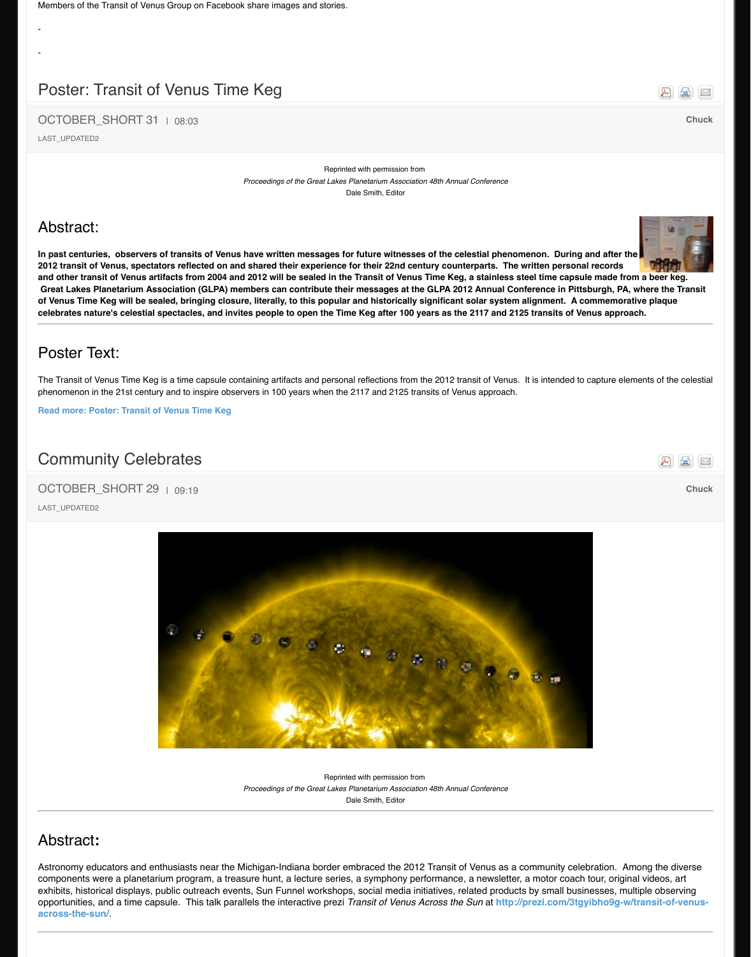The Transit of Venus Time Keg is a time capsule containing artifacts and personal reflections from the 201 phenomenon in the 21st century and to inspire observers in 100 years when the 2117 and 2125 transits of

**Read more: Poster: Transit of Venus Time Keg**

# Community Celebrates

# OCTOBER SHORT 29 | 09:19

LAST\_UPDATED2



Reprinted with permission from **Proceedings of the Great Lakes Planetarium Association 48th Annual Conference** Dale Smith, Editor

# Abstract**:**

Astronomy educators and enthusiasts near the Michigan-Indiana border embraced the 2012 Trans components were a planetarium program, a treasure hunt, a lecture series, a symphony performa exhibits, historical displays, public outreach events, Sun Funnel workshops, social media initiative opportunities, and a time capsule. This talk parallels the interactive prezi *Transit of Venus Across* **across-the-sun/**.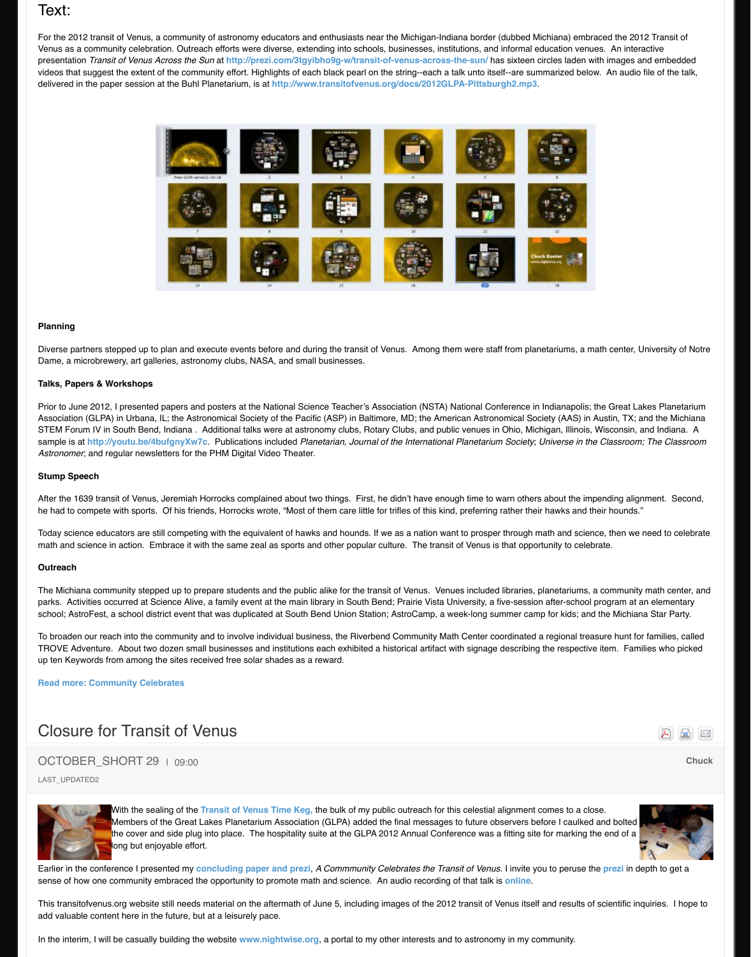### **Talks, Papers & Workshops**

Prior to June 2012, I presented papers and posters at the National Science Teacher's Association (NSTA) Association (GLPA) in Urbana, IL; the Astronomical Society of the Pacific (ASP) in Baltimore, MD; the American A STEM Forum IV in South Bend, Indiana . Additional talks were at astronomy clubs, Rotary Clubs, and pul sample is at **http://youtu.be/4bufgnyXw7c**. Publications included *Planetarian, Journal of the Internation Astronomer*; and regular newsletters for the PHM Digital Vid[eo Theater.](http://www.transitofvenus.org/docs/2012GLPA-Pittsburgh2.mp3)

# **Stump Speech**

After the 1639 transit of Venus, Jeremiah Horrocks complained about two things. First, he didn't have end he had to compete with sports. Of his friends, Horrocks wrote, "Most of them care little for trifles of this kin

Today science educators are still competing with the equivalent of hawks and hounds. If we as a nation wath and science math and science in action. Embrace it with the same zeal as sports and other popular culture. The trans

## **Outreach**

The Michiana community stepped up to prepare students and the public alike for the transit of Venus. Ver parks. Activities occurred at Science Alive, a family event at the main library in South Bend; Prairie Vista I school; AstroFest, a school district event that was duplicated at South Bend Union Station; AstroCamp, a

To broaden our reach into the community and to involve individual business, the Riverbend Community Math Center TROVE Adventure. About two dozen small businesses and institutions each exhibited a historical artifact up ten Keywords from among the sites received free solar shades as a reward.

## **Read more: Community Celebrates**

# Closure for Transit of Venus

# OCTOBER\_SHORT 29 | 09:00

LAST\_UPDATED2



With the sealing of the Transit of Venus Time Keg, the bulk of my public outreach for [Members of the Great La](http://youtu.be/4bufgnyXw7c)kes Planetarium Association (GLPA) added the final message the cover and side plug into place. The hospitality suite at the GLPA 2012 Annual Conf long but enjoyable effort.

Earlier in the conference I presented my **concluding paper and prezi**, *A Commmunity Celebrates the Transition* sense of how one community embraced the opportunity to promote math and science. An audio recording

This transitofvenus.org website still needs material on the aftermath of June 5, including images of the 2012 add valuable content here in the future, but at a leisurely pace.

In the interim, I will be casually building the website **www.nightwise.org**, a portal to my other interests an